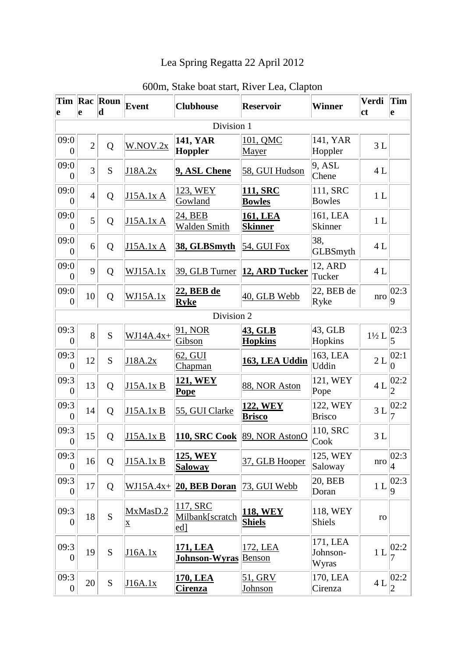## Lea Spring Regatta 22 April 2012

| e                      | e              | Tim Rac Roun<br>$ {\bf d} $ | Event                    | <b>Clubhouse</b>                   | <b>Reservoir</b>                  | <b>Winner</b>                 | <b>Verdi</b><br><b>ct</b> | <b>Tim</b><br>e          |
|------------------------|----------------|-----------------------------|--------------------------|------------------------------------|-----------------------------------|-------------------------------|---------------------------|--------------------------|
|                        |                |                             |                          | Division 1                         |                                   |                               |                           |                          |
| 09:0<br>$\overline{0}$ | $\overline{2}$ | Q                           | W.NOV.2x                 | <b>141, YAR</b><br>Hoppler         | 101, QMC<br>Mayer                 | 141, YAR<br>Hoppler           | 3L                        |                          |
| 09:0<br>$\Omega$       | $\overline{3}$ | S                           | J18A.2x                  | 9, ASL Chene                       | 58, GUI Hudson                    | 9, ASL<br>Chene               | 4L                        |                          |
| 09:0<br>$\theta$       | $\overline{4}$ | Q                           | J15A.1x A                | 123, WEY<br>Gowland                | 111, SRC<br><b>Bowles</b>         | 111, SRC<br><b>Bowles</b>     | 1 <sub>L</sub>            |                          |
| 09:0<br>$\overline{0}$ | 5              | Q                           | J15A.1x A                | 24, BEB<br>Walden Smith            | <b>161, LEA</b><br><b>Skinner</b> | 161, LEA<br>Skinner           | 1 <sub>L</sub>            |                          |
| 09:0<br>$\Omega$       | 6              | Q                           | J15A.1x A                | 38, GLBSmyth                       | 54, GUI Fox                       | 38,<br>GLBSmyth               | 4L                        |                          |
| 09:0<br>$\overline{0}$ | 9              | Q                           | WJ15A.1x                 | 39, GLB Turner                     | 12, ARD Tucker                    | 12, ARD<br>Tucker             | 4L                        |                          |
| 09:0<br>$\overline{0}$ | 10             | Q                           | WJ15A.1x                 | 22, BEB de<br><b>Ryke</b>          | 40, GLB Webb                      | 22, BEB de<br>Ryke            | nro                       | 02:3 <br>$ 9\rangle$     |
|                        |                |                             |                          | Division 2                         |                                   |                               |                           |                          |
| 09:3<br>$\theta$       | 8              | S                           | $WJ14A.4x+$              | 91, NOR<br>Gibson                  | 43, GLB<br><b>Hopkins</b>         | 43, GLB<br>Hopkins            | $1\frac{1}{2}$ L          | 02:3                     |
| 09:3<br>$\overline{0}$ | 12             | S                           | J18A.2x                  | 62, GUI<br>Chapman                 | 163, LEA Uddin                    | 163, LEA<br>Uddin             | 2L                        | 02:1 <br>$\vert 0 \vert$ |
| 09:3<br>$\overline{0}$ | 13             | Q                           | J15A.1x B                | 121, WEY<br><b>Pope</b>            | 88, NOR Aston                     | 121, WEY<br>Pope              | 4L                        | 02:2<br>$\overline{2}$   |
| 09:3<br>$\theta$       | 14             | Q                           | J15A.1x B                | 55, GUI Clarke                     | 122, WEY<br><b>Brisco</b>         | 122, WEY<br><b>Brisco</b>     | 3L                        | 02:2                     |
| 09:3<br>$\overline{0}$ | 15             | Q                           | J15A.1x B                | <b>110, SRC Cook</b>               | 89, NOR AstonO                    | 110, SRC<br>Cook              | 3L                        |                          |
| 09:3<br>$\overline{0}$ | 16             | Q                           | J15A.1x B                | 125, WEY<br><b>Saloway</b>         | 37, GLB Hooper                    | 125, WEY<br>Saloway           | nro                       | 02:3 <br>4               |
| 09:3<br>$\overline{0}$ | 17             | Q                           | $WJ15A.4x+$              | 20, BEB Doran                      | 73, GUI Webb                      | 20, BEB<br>Doran              | 1 <sub>L</sub>            | 02:3                     |
| 09:3<br>$\theta$       | 18             | S                           | MxMasD.2<br>$\mathbf{X}$ | 117, SRC<br>Milbank[scratch<br>ed] | <b>118, WEY</b><br><b>Shiels</b>  | 118, WEY<br>Shiels            | ro                        |                          |
| 09:3<br>$\theta$       | 19             | ${\bf S}$                   | J16A.1x                  | 171, LEA<br>Johnson-Wyras          | 172, LEA<br><b>Benson</b>         | 171, LEA<br>Johnson-<br>Wyras | 1 <sub>L</sub>            | 02:2                     |
| 09:3<br>$\overline{0}$ | 20             | ${\bf S}$                   | J16A.1x                  | <u>170, LEA</u><br><b>Cirenza</b>  | 51, GRV<br>Johnson                | 170, LEA<br>Cirenza           | 4L                        | 02:2 <br>$\overline{2}$  |

## 600m, Stake boat start, River Lea, Clapton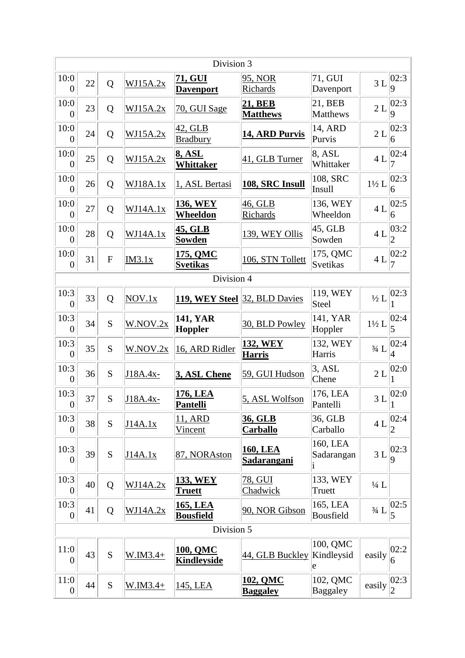| Division 3             |    |              |           |                                     |                                       |                                |                  |                         |  |
|------------------------|----|--------------|-----------|-------------------------------------|---------------------------------------|--------------------------------|------------------|-------------------------|--|
| 10:0<br>$\theta$       | 22 | Q            | WJ15A.2x  | 71, GUI<br><b>Davenport</b>         | 95, NOR<br>Richards                   | 71, GUI<br>Davenport           | 3L               | 02:3 <br>9              |  |
| 10:0<br>$\overline{0}$ | 23 | Q            | WJ15A.2x  | 70, GUI Sage                        | <b>21, BEB</b><br><b>Matthews</b>     | 21, BEB<br>Matthews            | 2L               | 02:3 <br>9              |  |
| 10:0<br>$\overline{0}$ | 24 | Q            | WJ15A.2x  | 42, GLB<br><b>Bradbury</b>          | 14, ARD Purvis                        | 14, ARD<br>Purvis              | 2L               | 02:3 <br>6              |  |
| 10:0<br>$\theta$       | 25 | Q            | WJ15A.2x  | <b>8, ASL</b><br><b>Whittaker</b>   | 41, GLB Turner                        | 8, ASL<br>Whittaker            | 4L               | 02:4                    |  |
| 10:0<br>$\overline{0}$ | 26 | Q            | WJ18A.1x  | 1, ASL Bertasi                      | 108, SRC Insull                       | 108, SRC<br>Insull             | $1\frac{1}{2}$ L | 02:3 <br>6              |  |
| 10:0<br>$\overline{0}$ | 27 | Q            | WJ14A.1x  | <b>136, WEY</b><br>Wheeldon         | 46, GLB<br>Richards                   | 136, WEY<br>Wheeldon           | 4L               | 02:5 <br>6              |  |
| 10:0<br>$\theta$       | 28 | Q            | WJ14A.1x  | 45, GLB<br><b>Sowden</b>            | 139, WEY Ollis                        | $ 45, \mathrm{GLB} $<br>Sowden | 4L               | 03:2<br>$\overline{2}$  |  |
| 10:0<br>$\theta$       | 31 | $\mathbf{F}$ | IM3.1x    | 175, QMC<br><b>Svetikas</b>         | 106, STN Tollett                      | 175, QMC<br>Svetikas           | 4L               | 02:2                    |  |
|                        |    |              |           | Division 4                          |                                       |                                |                  |                         |  |
| 10:3<br>$\overline{0}$ | 33 | Q            | NOV.1x    | 119, WEY Steel 32, BLD Davies       |                                       | 119, WEY<br>Steel              | $\frac{1}{2}L$   | 02:3                    |  |
| 10:3<br>$\overline{0}$ | 34 | S            | W.NOV.2x  | <b>141, YAR</b><br>Hoppler          | 30, BLD Powley                        | 141, YAR<br>Hoppler            | $1\frac{1}{2}$ L | 02:4                    |  |
| 10:3<br>$\theta$       | 35 | S            | W.NOV.2x  | 16, ARD Ridler                      | <b>132, WEY</b><br><b>Harris</b>      | 132, WEY<br>Harris             | $3/4$ L          | 02:4<br>4               |  |
| 10:3<br>$\overline{0}$ | 36 | S            | J18A.4x-  | 3, ASL Chene                        | 59, GUI Hudson                        | 3. ASL<br>Chene                | 2L               | 02:0                    |  |
| 10:3<br> 0             | 37 | S            | J18A.4x-  | 176, LEA<br><b>Pantelli</b>         | 5, ASL Wolfson                        | 176, LEA<br>Pantelli           | 3L               | 02:0                    |  |
| 10:3<br>$\overline{0}$ | 38 | S            | J14A.1x   | 11, ARD<br><u>Vincent</u>           | 36, GLB<br><b>Carballo</b>            | 36, GLB<br>Carballo            | 4L               | 02:4                    |  |
| 10:3<br>$\overline{0}$ | 39 | S            | J14A.1x   | 87, NORAston                        | <b>160, LEA</b><br><u>Sadarangani</u> | 160, LEA<br>Sadarangan         | 3L               | 02:3 <br>9              |  |
| 10:3<br>$\overline{0}$ | 40 | Q            | WJ14A.2x  | <b>133, WEY</b><br><b>Truett</b>    | 78, GUI<br>Chadwick                   | 133, WEY<br>Truett             | $\frac{1}{4}$ L  |                         |  |
| 10:3<br>$\overline{0}$ | 41 | Q            | WJ14A.2x  | <u>165, LEA</u><br><b>Bousfield</b> | 90, NOR Gibson                        | 165, LEA<br>Bousfield          | $3/4$ L          | 02:5 <br>$\overline{5}$ |  |
|                        |    |              |           | Division 5                          |                                       |                                |                  |                         |  |
| 11:0<br>$\overline{0}$ | 43 | S            | $W.M3.4+$ | 100, QMC<br><b>Kindleyside</b>      | 44, GLB Buckley Kindleysid            | 100, QMC<br>e                  | easily           | 02:2 <br>6              |  |
| 11:0<br>$\overline{0}$ | 44 | ${\bf S}$    | $W.M3.4+$ | 145, LEA                            | <u>102, QMC</u><br><b>Baggaley</b>    | 102, QMC<br>Baggaley           | easily           | 02:3 <br>$\overline{2}$ |  |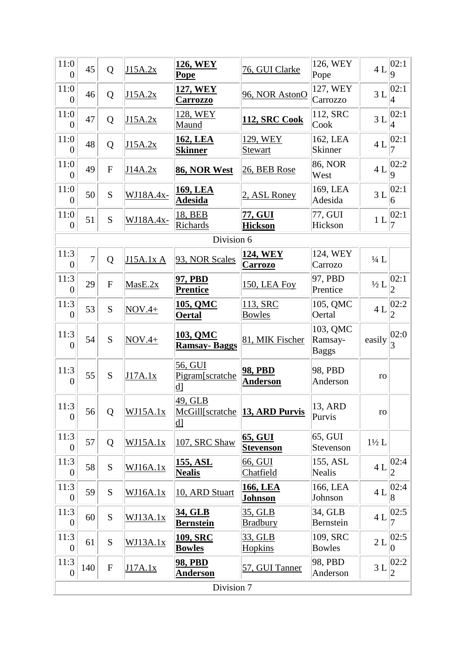| 11:0<br>$\overline{0}$   | 45             | Q            | J15A.2x         | <b>126, WEY</b><br><b>Pope</b>     | 76, GUI Clarke                     | 126, WEY<br>Pope                    | 4L               | 02:1 <br>9               |
|--------------------------|----------------|--------------|-----------------|------------------------------------|------------------------------------|-------------------------------------|------------------|--------------------------|
| 11:0<br>$\overline{0}$   | 46             | Q            | J15A.2x         | <u>127, WEY</u><br><b>Carrozzo</b> | 96, NOR AstonO                     | 127, WEY<br>Carrozzo                | 3L               | 02:1 <br>4               |
| 11:0<br>$\overline{0}$   | 47             | Q            | J15A.2x         | 128, WEY<br>Maund                  | <b>112, SRC Cook</b>               | 112, SRC<br>Cook                    | 3L               | 02:1 <br>$\overline{4}$  |
| 11:0<br>$\overline{0}$   | 48             | Q            | J15A.2x         | 162, LEA<br><b>Skinner</b>         | 129, WEY<br>Stewart                | 162, LEA<br><b>Skinner</b>          | 4L               | 02:1                     |
| 11:0<br>$\overline{0}$   | 49             | $\mathbf{F}$ | J14A.2x         | 86, NOR West                       | 26, BEB Rose                       | 86, NOR<br>West                     | 4L               | 02:2 <br>9               |
| 11:0<br>$\overline{0}$   | 50             | S            | WJ18A.4x-       | <u>169, LEA</u><br><b>Adesida</b>  | 2, ASL Roney                       | 169, LEA<br>Adesida                 | 3L               | 02:1 <br>6               |
| 11:0<br>$\overline{0}$   | 51             | S            | WJ18A.4x-       | 18, BEB<br>Richards                | 77, GUI<br><b>Hickson</b>          | 77, GUI<br>Hickson                  | 1L               | 02:1 <br>7               |
|                          |                |              |                 | Division 6                         |                                    |                                     |                  |                          |
| 11:3<br>$\overline{0}$   | $\overline{7}$ | Q            | J15A.1x A       | 93, NOR Scales                     | <b>124, WEY</b><br><b>Carrozo</b>  | 124, WEY<br>Carrozo                 | $\frac{1}{4}$ L  |                          |
| 11:3<br>$\overline{0}$   | 29             | ${\bf F}$    | MasE.2x         | 97, PBD<br><b>Prentice</b>         | 150, LEA Foy                       | 97, PBD<br>Prentice                 | $\frac{1}{2}$ L  | 02:1                     |
| 11:3<br>$\overline{0}$   | 53             | S            | $NOV.4+$        | 105, QMC<br><b>Oertal</b>          | 113, SRC<br><b>Bowles</b>          | 105, QMC<br>Oertal                  | 4L               | 02:2 <br>2               |
|                          |                |              |                 |                                    |                                    |                                     |                  |                          |
| 11:3<br>$\theta$         | 54             | S            | $NOV.4+$        | 103, QMC<br><b>Ramsay-Baggs</b>    | 81, MIK Fischer                    | 103, QMC<br>Ramsay-<br><b>Baggs</b> | easily           | 02:0                     |
| 11:3<br>$\theta$         | 55             | S            | J17A.1x         | 56, GUI<br>Pigram[scratche<br> d   | 98, PBD<br><b>Anderson</b>         | 98, PBD<br>Anderson                 | ro               |                          |
| 11:3<br>$\overline{0}$   | 56             | Q            | WJ15A.1x        | 49, GLB<br> d                      | McGill[scratche 13, ARD Purvis     | 13, ARD<br>Purvis                   | $_{\rm ro}$      |                          |
| 11:3<br>$\overline{0}$   | 57             | Q            | WJ15A.1x        | 107, SRC Shaw                      | <u>65, GUI</u><br><b>Stevenson</b> | 65, GUI<br>Stevenson                | $1\frac{1}{2}$ L |                          |
| 11:3<br>$\overline{0}$   | 58             | ${\bf S}$    | <u>WJ16A.1x</u> | 155, ASL<br><b>Nealis</b>          | 66, GUI<br>Chatfield               | 155, ASL<br>Nealis                  | 4L               | 02:4                     |
| 11:3<br>$\overline{0}$   | 59             | S            | <u>WJ16A.1x</u> | 10, ARD Stuart                     | <b>166, LEA</b><br><b>Johnson</b>  | 166, LEA<br>Johnson                 | 4L               | 02:4 <br>8               |
| 11:3<br>$\overline{0}$   | 60             | S            | WJ13A.1x        | <u>34, GLB</u><br><b>Bernstein</b> | 35, GLB<br><b>Bradbury</b>         | 34, GLB<br>Bernstein                | 4L               | 02:5                     |
| 11:3<br>$\overline{0}$   | 61             | ${\bf S}$    | WJ13A.1x        | <b>109, SRC</b><br><b>Bowles</b>   | 33, GLB<br>Hopkins                 | 109, SRC<br><b>Bowles</b>           | $2\;{\rm L}$     | 02:5 <br>$\vert 0 \vert$ |
| 11:3<br>$\boldsymbol{0}$ | 140            | ${\bf F}$    | J17A.1x         | <b>98, PBD</b><br><b>Anderson</b>  | 57, GUI Tanner                     | 98, PBD<br>Anderson                 | 3L               | 02:2 <br>$ 2\>$          |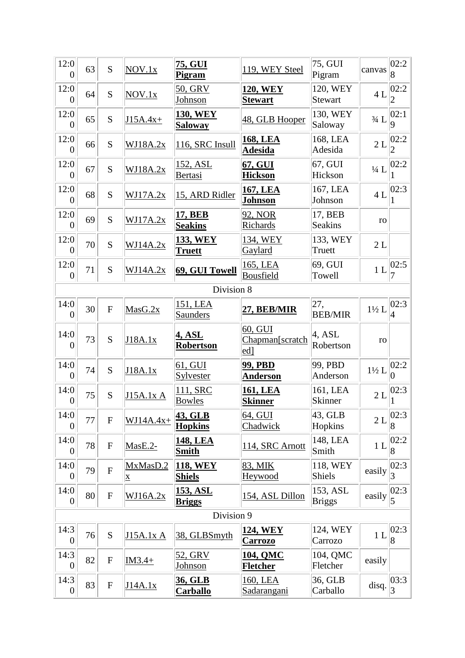| 12:0<br>$\overline{0}$ | 63         | S              | NOV.1x                              | 75, GUI<br><b>Pigram</b>          | 119, WEY Steel                                     | 75, GUI<br>Pigram         | canvas           | 02:2<br>8                |  |  |
|------------------------|------------|----------------|-------------------------------------|-----------------------------------|----------------------------------------------------|---------------------------|------------------|--------------------------|--|--|
| 12:0<br>$\overline{0}$ | 64         | S              | NOV.1x                              | 50, GRV<br>Johnson                | <b>120, WEY</b><br><b>Stewart</b>                  | 120, WEY<br>Stewart       | 4L               | 02:2<br>2                |  |  |
| 12:0<br>$\overline{0}$ | 65         | S              | $J15A.4x+$                          | <b>130, WEY</b><br><b>Saloway</b> | 48, GLB Hooper                                     | 130, WEY<br>Saloway       | $3/4$ L          | 02:1                     |  |  |
| 12:0<br>$\overline{0}$ | 66         | S              | WJ18A.2x                            | 116, SRC Insull                   | <b>168, LEA</b><br><b>Adesida</b>                  | 168, LEA<br>Adesida       | 2L               | 02:2                     |  |  |
| 12:0<br>$\overline{0}$ | 67         | S              | WJ18A.2x                            | <u>152, ASL</u><br>Bertasi        | 67, GUI<br><b>Hickson</b>                          | 67, GUI<br>Hickson        | $\frac{1}{4}$ L  | 02:2                     |  |  |
| 12:0<br>$\overline{0}$ | 68         | S              | WJ17A.2x                            | 15, ARD Ridler                    | 167, LEA<br>Johnson                                | 167, LEA<br>Johnson       | 4L               | 02:3                     |  |  |
| 12:0<br>$\overline{0}$ | 69         | S              | WJ17A.2x                            | 17, BEB<br><b>Seakins</b>         | 92, NOR<br>Richards                                | 17, BEB<br><b>Seakins</b> | ro               |                          |  |  |
| 12:0<br>$\overline{0}$ | 70         | S              | WJ14A.2x                            | 133, WEY<br><b>Truett</b>         | 134, WEY<br>Gaylard                                | 133, WEY<br>Truett        | 2L               |                          |  |  |
| 12:0<br>$\overline{0}$ | 71         | S              | WJ14A.2x                            | 69, GUI Towell                    | 165, LEA<br><b>Bousfield</b>                       | 69, GUI<br>Towell         | 1L               | 02:5                     |  |  |
|                        | Division 8 |                |                                     |                                   |                                                    |                           |                  |                          |  |  |
| 14:0<br>$\overline{0}$ | 30         | $\overline{F}$ | MasG.2x                             | 151, LEA<br>Saunders              | 27, BEB/MIR                                        | 27,<br><b>BEB/MIR</b>     | $1\frac{1}{2}$ L | 02:3 <br>4               |  |  |
| 14:0<br>0              | 73         | S              | J18A.1x                             | <u>4, ASL</u><br><b>Robertson</b> | 60, GUI<br>Chapman[scratch<br>$\lfloor ed \rfloor$ | 4, ASL<br>Robertson       | ro               |                          |  |  |
| 14:0<br>$\overline{0}$ | 74         | S              | J18A.1x                             | 61, GUI<br>Sylvester              | <b>99, PBD</b><br><b>Anderson</b>                  | 99, PBD<br>Anderson       | $1\frac{1}{2}$ L | 02:2<br>0                |  |  |
| 14:0<br>$\overline{0}$ | 75         | S              | <b>J15A.1x A</b>                    | 111, SRC<br><b>Bowles</b>         | <u>161, LEA</u><br><b>Skinner</b>                  | 161, LEA<br>Skinner       | 2L               | 02:3                     |  |  |
| 14:0<br>$\overline{0}$ | 77         | ${\bf F}$      | $WJ14A.4x+$                         | 43, GLB<br><b>Hopkins</b>         | 64, GUI<br>Chadwick                                | $43$ , GLB<br>Hopkins     | 2L               | 02:3 <br>8               |  |  |
| 14:0<br>$\overline{0}$ | 78         | ${\bf F}$      | $MasE.2-$                           | <b>148, LEA</b><br><b>Smith</b>   | 114, SRC Arnott                                    | 148, LEA<br>Smith         | 1 <sub>L</sub>   | 02:2 <br>8               |  |  |
| 14:0<br>$\overline{0}$ | 79         | $\overline{F}$ | MxMasD.2<br>$\overline{\mathbf{X}}$ | <b>118, WEY</b><br><b>Shiels</b>  | 83, MIK<br>Heywood                                 | 118, WEY<br>Shiels        | easily           | 02:3 <br>3               |  |  |
| 14:0<br>$\overline{0}$ | 80         | ${\bf F}$      | WJ16A.2x                            | 153, ASL<br><b>Briggs</b>         | 154, ASL Dillon                                    | 153, ASL<br>Briggs        | easily           | 02:3 <br>5               |  |  |
|                        |            |                |                                     | Division 9                        |                                                    |                           |                  |                          |  |  |
| 14:3<br>$\overline{0}$ | 76         | S              | J15A.1x A                           | 38, GLBSmyth                      | <b>124, WEY</b><br><b>Carrozo</b>                  | 124, WEY<br>Carrozo       | 1 <sub>L</sub>   | 02:3 <br>$\overline{8}$  |  |  |
| 14:3<br>$\overline{0}$ | 82         | ${\bf F}$      | $IM3.4+$                            | 52, GRV<br><b>Johnson</b>         | 104, QMC<br><b>Fletcher</b>                        | 104, QMC<br>Fletcher      | easily           |                          |  |  |
| 14:3<br>$\overline{0}$ | 83         | ${\bf F}$      | J14A.1x                             | 36, GLB<br>Carballo               | 160, LEA<br>Sadarangani                            | 36, GLB<br>Carballo       | disq.            | 03:3 <br>$\vert 3 \vert$ |  |  |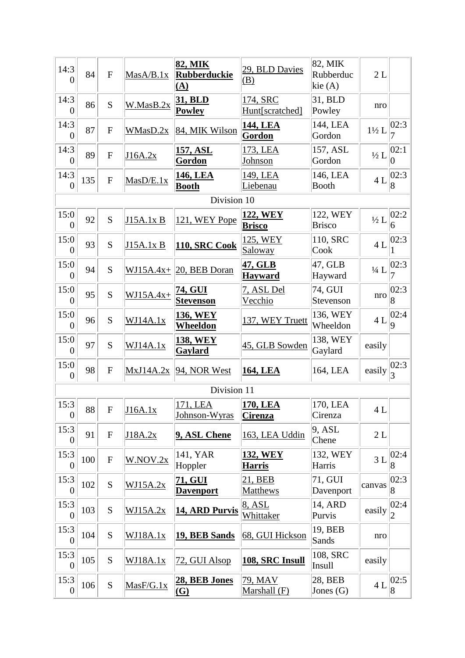| 14:3<br>$\Omega$         | 84  | $\mathbf F$    | MasA/B.1x       | 82, MIK<br><b>Rubberduckie</b><br>(A) | 29, BLD Davies<br>(B)            | 82, MIK<br>Rubberduc<br>kie $(A)$ | 2L               |                         |  |  |
|--------------------------|-----|----------------|-----------------|---------------------------------------|----------------------------------|-----------------------------------|------------------|-------------------------|--|--|
| 14:3<br>$\Omega$         | 86  | S              | W.MasB.2x       | <b>31, BLD</b><br><b>Powley</b>       | 174, SRC<br>Hunt[scratched]      | 31, BLD<br>Powley                 | nro              |                         |  |  |
| 14:3<br>$\theta$         | 87  | $\mathbf F$    | WMasD.2x        | 84, MIK Wilson                        | 144, LEA<br>Gordon               | 144, LEA<br>Gordon                | $1\frac{1}{2}$ L | 02:3                    |  |  |
| 14:3<br>$\overline{0}$   | 89  | $\overline{F}$ | J16A.2x         | <u>157, ASL</u><br>Gordon             | 173, LEA<br>Johnson              | 157, ASL<br>Gordon                | $\frac{1}{2}L$   | 02:1<br>0               |  |  |
| 14:3<br>$\overline{0}$   | 135 | ${\bf F}$      | MasD/E.1x       | 146, LEA<br><b>Booth</b>              | 149, LEA<br>Liebenau             | 146, LEA<br><b>Booth</b>          | 4L               | 02:3<br>$\overline{8}$  |  |  |
| Division 10              |     |                |                 |                                       |                                  |                                   |                  |                         |  |  |
| 15:0<br>$\overline{0}$   | 92  | S              | J15A.1x B       | 121, WEY Pope                         | 122, WEY<br><b>Brisco</b>        | 122, WEY<br><b>Brisco</b>         | $\frac{1}{2}$ L  | 02:2<br>6               |  |  |
| 15:0<br>$\theta$         | 93  | S              | J15A.1x B       | 110, SRC Cook                         | 125, WEY<br><b>Saloway</b>       | 110, SRC<br>Cook                  | 4L               | 02:3                    |  |  |
| 15:0<br>$\theta$         | 94  | S              |                 | $WJ15A.4x+ 20, BEB Doran$             | 47, GLB<br><b>Hayward</b>        | 47, GLB<br>Hayward                | $\frac{1}{4}$ L  | 02:3                    |  |  |
| 15:0<br>$\overline{0}$   | 95  | S              | $WJ15A.4x+$     | <u>74, GUI</u><br><b>Stevenson</b>    | 7, ASL Del<br>Vecchio            | 74, GUI<br>Stevenson              | nro              | 02:3<br>8               |  |  |
| 15:0<br>$\theta$         | 96  | S              | WJ14A.1x        | <b>136, WEY</b><br><b>Wheeldon</b>    | 137, WEY Truett                  | 136, WEY<br>Wheeldon              | 4L               | 02:4<br>9               |  |  |
| 15:0<br>$\theta$         | 97  | S              | WJ14A.1x        | <b>138, WEY</b><br><b>Gaylard</b>     | 45, GLB Sowden                   | 138, WEY<br>Gaylard               | easily           |                         |  |  |
| 15:0<br>$\overline{0}$   | 98  | ${\bf F}$      | MxJ14A.2x       | 94, NOR West                          | <b>164, LEA</b>                  | 164, LEA                          | easily           | 02:3 <br> 3             |  |  |
|                          |     |                |                 | Division 11                           |                                  |                                   |                  |                         |  |  |
| 15:3<br>$\overline{0}$   | 88  | F              | J16A.1x         | 171, LEA<br>Johnson-Wyras             | 170, LEA<br><b>Cirenza</b>       | 170, LEA<br>Cirenza               | 4 L              |                         |  |  |
| 15:3<br>$\theta$         | 91  | ${\bf F}$      | J18A.2x         | 9, ASL Chene                          | 163, LEA Uddin                   | 9, ASL<br>Chene                   | 2L               |                         |  |  |
| 15:3<br>$\overline{0}$   | 100 | ${\bf F}$      | W.NOV.2x        | 141, YAR<br>Hoppler                   | <b>132, WEY</b><br><u>Harris</u> | 132, WEY<br>Harris                | 3L               | 02:4<br>8               |  |  |
| 15:3<br>$\overline{0}$   | 102 | S              | WJ15A.2x        | <u>71, GUI</u><br><b>Davenport</b>    | 21, BEB<br>Matthews              | 71, GUI<br>Davenport              | canvas           | 02:3<br>8               |  |  |
| 15:3<br>$\theta$         | 103 | S              | WJ15A.2x        | 14, ARD Purvis                        | 8, ASL<br>Whittaker              | 14, ARD<br>Purvis                 | easily           | 02:4 <br>$\overline{2}$ |  |  |
| 15:3<br>$\boldsymbol{0}$ | 104 | S              | <b>WJ18A.1x</b> | 19, BEB Sands                         | 68, GUI Hickson                  | 19, BEB<br>Sands                  | nro              |                         |  |  |
| 15:3<br>$\overline{0}$   | 105 | S              | WJ18A.1x        | 72, GUI Alsop                         | 108, SRC Insull                  | 108, SRC<br>Insull                | easily           |                         |  |  |
| 15:3<br>$\overline{0}$   | 106 | S              | MasF/G.1x       | 28, BEB Jones<br>$\Omega$             | 79, MAV<br><b>Marshall</b> (F)   | 28, BEB<br>Jones $(G)$            | 4L               | 02:5 <br> 8             |  |  |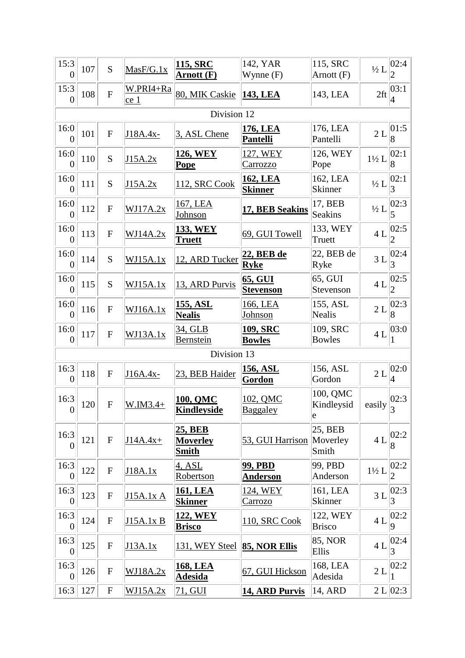| 15:3<br>$\overline{0}$   | 107 | S                         | MasF/G.1x         | 115, SRC<br>Arnott (F)                            | 142, YAR<br>Wynne $(F)$           | 115, SRC<br>Arnott (F)       | $\frac{1}{2}L$   | 02:4                   |
|--------------------------|-----|---------------------------|-------------------|---------------------------------------------------|-----------------------------------|------------------------------|------------------|------------------------|
| 15:3<br>$\overline{0}$   | 108 | $\overline{F}$            | W.PRI4+Ra<br>ce 1 | 80, MIK Caskie                                    | <b>143, LEA</b>                   | 143, LEA                     | 2ft              | 03:1<br>4              |
|                          |     |                           |                   | Division 12                                       |                                   |                              |                  |                        |
| 16:0<br>$\overline{0}$   | 101 | $\mathbf{F}$              | J18A.4x-          | 3, ASL Chene                                      | <u>176, LEA</u><br>Pantelli       | 176, LEA<br>Pantelli         | 2L               | 01:5<br>$\overline{8}$ |
| 16:0<br>$\Omega$         | 110 | S                         | J15A.2x           | 126, WEY<br><b>Pope</b>                           | 127, WEY<br>Carrozzo              | 126, WEY<br>Pope             | $1\frac{1}{2}$ L | 02:1 <br>8             |
| 16:0<br>$\overline{0}$   | 111 | S                         | J15A.2x           | 112, SRC Cook                                     | <b>162, LEA</b><br><b>Skinner</b> | 162, LEA<br><b>Skinner</b>   | $\frac{1}{2}L$   | 02:1<br>3              |
| 16:0<br>$\overline{0}$   | 112 | $\mathbf{F}$              | WJ17A.2x          | 167, LEA<br><b>Johnson</b>                        | 17, BEB Seakins                   | 17, BEB<br><b>Seakins</b>    | $\frac{1}{2}L$   | 02:3                   |
| 16:0<br>$\theta$         | 113 | $\mathbf{F}$              | WJ14A.2x          | <b>133, WEY</b><br><b>Truett</b>                  | 69, GUI Towell                    | 133, WEY<br>Truett           | $4 L$            | 02:5<br>2              |
| 16:0<br>$\theta$         | 114 | S                         | WJ15A.1x          | 12, ARD Tucker                                    | 22, BEB de<br><b>Ryke</b>         | 22, BEB de<br>Ryke           | 3L               | 02:4<br>3              |
| 16:0<br>$\overline{0}$   | 115 | S                         | WJ15A.1x          | 13, ARD Purvis                                    | 65, GUI<br><b>Stevenson</b>       | 65, GUI<br>Stevenson         | 4L               | 02:5<br>2              |
| 16:0<br>$\overline{0}$   | 116 | $\mathbf{F}$              | WJ16A.1x          | 155, ASL<br><b>Nealis</b>                         | 166, LEA<br>Johnson               | 155, ASL<br><b>Nealis</b>    | 2L               | 02:3 <br>8             |
| 16:0<br>$\theta$         | 117 | $\mathbf{F}$              | WJ13A.1x          | 34, GLB<br>Bernstein                              | <b>109, SRC</b><br><b>Bowles</b>  | 109, SRC<br><b>Bowles</b>    | 4L               | 03:0                   |
|                          |     |                           |                   | Division 13                                       |                                   |                              |                  |                        |
| 16:3<br>$\overline{0}$   | 118 | $\mathbf{F}$              | J16A.4x-          | 23, BEB Haider                                    | <u>156, ASL</u><br>Gordon         | 156, ASL<br>Gordon           | 2L               | 02:0<br>4              |
| 16:3<br>$\boldsymbol{0}$ | 120 | $\boldsymbol{\mathrm{F}}$ | $W.M3.4+$         | <b>100, QMC</b><br><b>Kindleyside</b>             | 102, QMC<br>Baggaley              | 100, QMC<br>Kindleysid<br>e  | easily           | 02:3<br>3              |
| 16:3<br>$\theta$         | 121 | ${\bf F}$                 | $J14A.4x+$        | <b>25, BEB</b><br><b>Moverley</b><br><b>Smith</b> | 53, GUI Harrison                  | 25, BEB<br>Moverley<br>Smith | 4L               | 02:2<br>8              |
| 16:3<br>$\overline{0}$   | 122 | ${\bf F}$                 | J18A.1x           | 4, ASL<br><b>Robertson</b>                        | <b>99, PBD</b><br><b>Anderson</b> | 99, PBD<br>Anderson          | $1\frac{1}{2}$ L | 02:2                   |
| 16:3<br>$\overline{0}$   | 123 | $\mathbf{F}$              | <u>J15A.1x A</u>  | 161, LEA<br><b>Skinner</b>                        | 124, WEY<br>Carrozo               | 161, LEA<br>Skinner          | 3L               | 02:3<br>3              |
| 16:3<br>$\overline{0}$   | 124 | ${\bf F}$                 | J15A.1x B         | 122, WEY<br><b>Brisco</b>                         | 110, SRC Cook                     | 122, WEY<br><b>Brisco</b>    | 4L               | 02:2<br>9              |
| 16:3<br>$\theta$         | 125 | ${\bf F}$                 | J13A.1x           | <u>131, WEY Steel 85, NOR Ellis</u>               |                                   | 85, NOR<br>Ellis             | 4L               | 02:4                   |
| 16:3<br>$\overline{0}$   | 126 | ${\bf F}$                 | <u>WJ18A.2x</u>   | <b>168, LEA</b><br><b>Adesida</b>                 | 67, GUI Hickson                   | 168, LEA<br>Adesida          | $2\,\mathrm{L}$  | 02:2                   |
| 16:3                     | 127 | ${\bf F}$                 | <u>WJ15A.2x</u>   | 71, GUI                                           | 14, ARD Purvis                    | 14, ARD                      |                  | 2 L   02:3             |